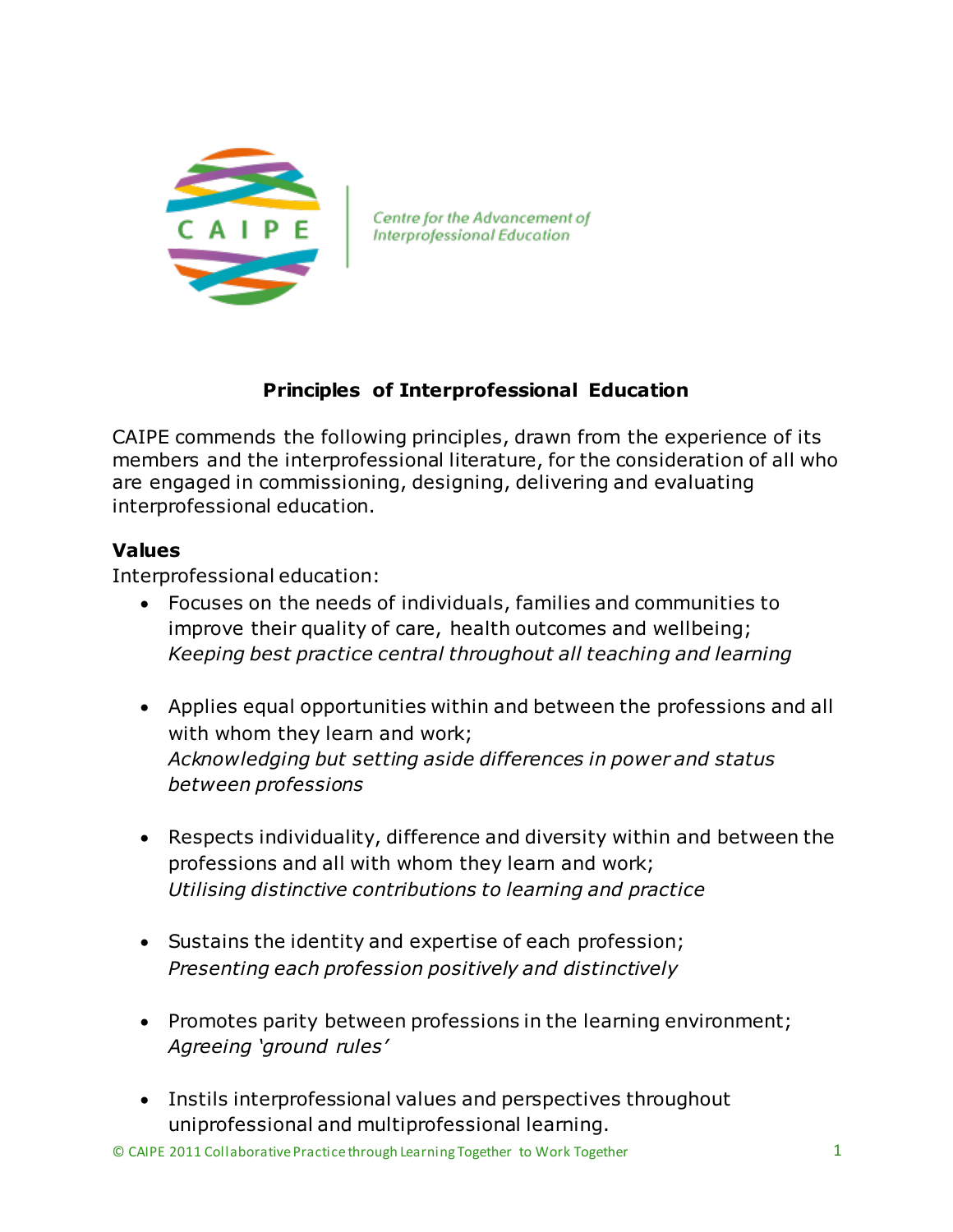

Centre for the Advancement of **Interprofessional Education** 

## **Principles of Interprofessional Education**

CAIPE commends the following principles, drawn from the experience of its members and the interprofessional literature, for the consideration of all who are engaged in commissioning, designing, delivering and evaluating interprofessional education.

## **Values**

Interprofessional education:

- Focuses on the needs of individuals, families and communities to improve their quality of care, health outcomes and wellbeing; *Keeping best practice central throughout all teaching and learning*
- Applies equal opportunities within and between the professions and all with whom they learn and work; *Acknowledging but setting aside differences in power and status between professions*
- Respects individuality, difference and diversity within and between the professions and all with whom they learn and work; *Utilising distinctive contributions to learning and practice*
- Sustains the identity and expertise of each profession; *Presenting each profession positively and distinctively*
- Promotes parity between professions in the learning environment; *Agreeing 'ground rules'*
- Instils interprofessional values and perspectives throughout uniprofessional and multiprofessional learning.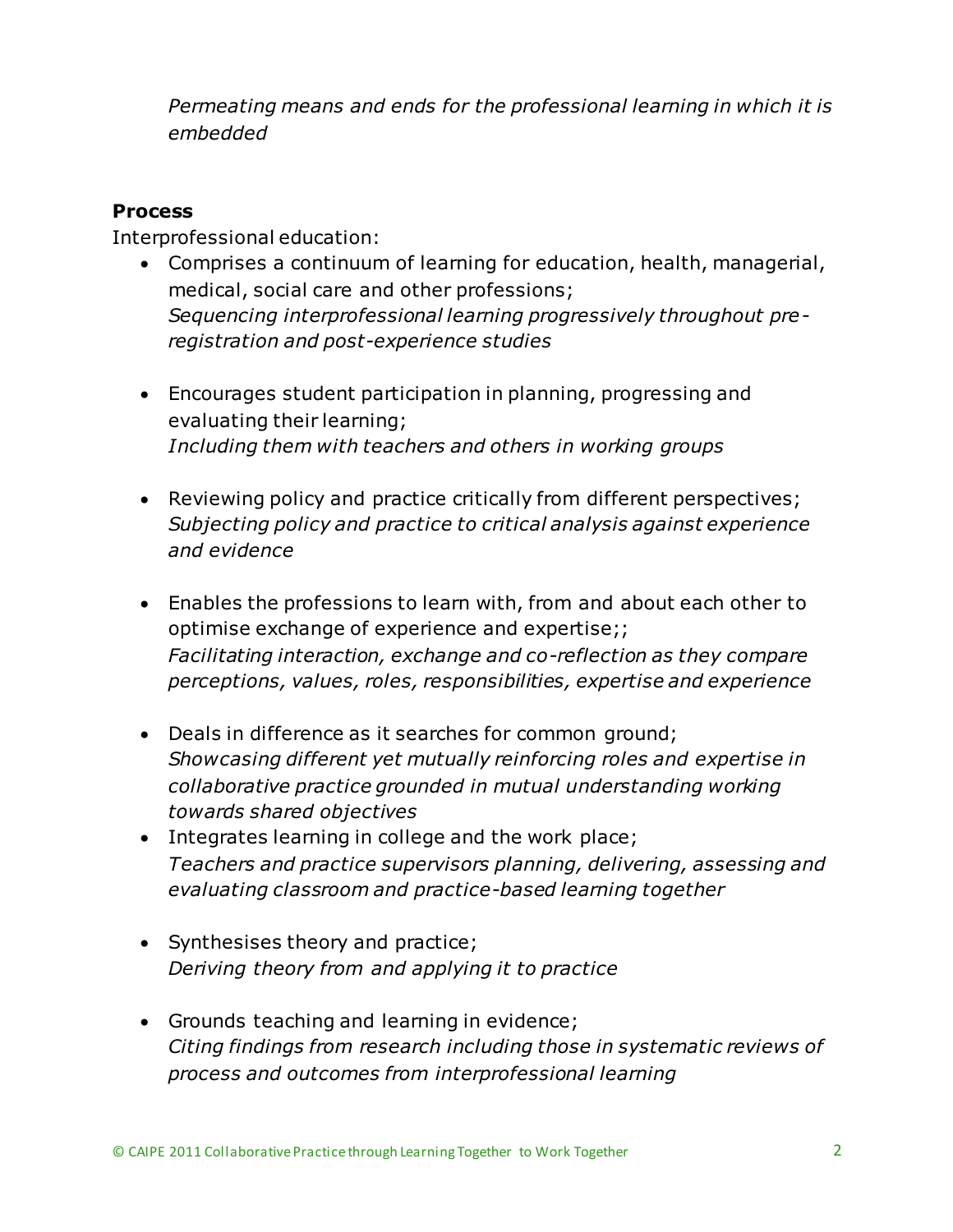*Permeating means and ends for the professional learning in which it is embedded* 

## **Process**

Interprofessional education:

- Comprises a continuum of learning for education, health, managerial, medical, social care and other professions; *Sequencing interprofessional learning progressively throughout preregistration and post-experience studies*
- Encourages student participation in planning, progressing and evaluating their learning; *Including them with teachers and others in working groups*
- Reviewing policy and practice critically from different perspectives; *Subjecting policy and practice to critical analysis against experience and evidence*
- Enables the professions to learn with, from and about each other to optimise exchange of experience and expertise;; *Facilitating interaction, exchange and co-reflection as they compare perceptions, values, roles, responsibilities, expertise and experience*
- Deals in difference as it searches for common ground; *Showcasing different yet mutually reinforcing roles and expertise in collaborative practice grounded in mutual understanding working towards shared objectives*
- Integrates learning in college and the work place; *Teachers and practice supervisors planning, delivering, assessing and evaluating classroom and practice-based learning together*
- Synthesises theory and practice; *Deriving theory from and applying it to practice*
- Grounds teaching and learning in evidence; *Citing findings from research including those in systematic reviews of process and outcomes from interprofessional learning*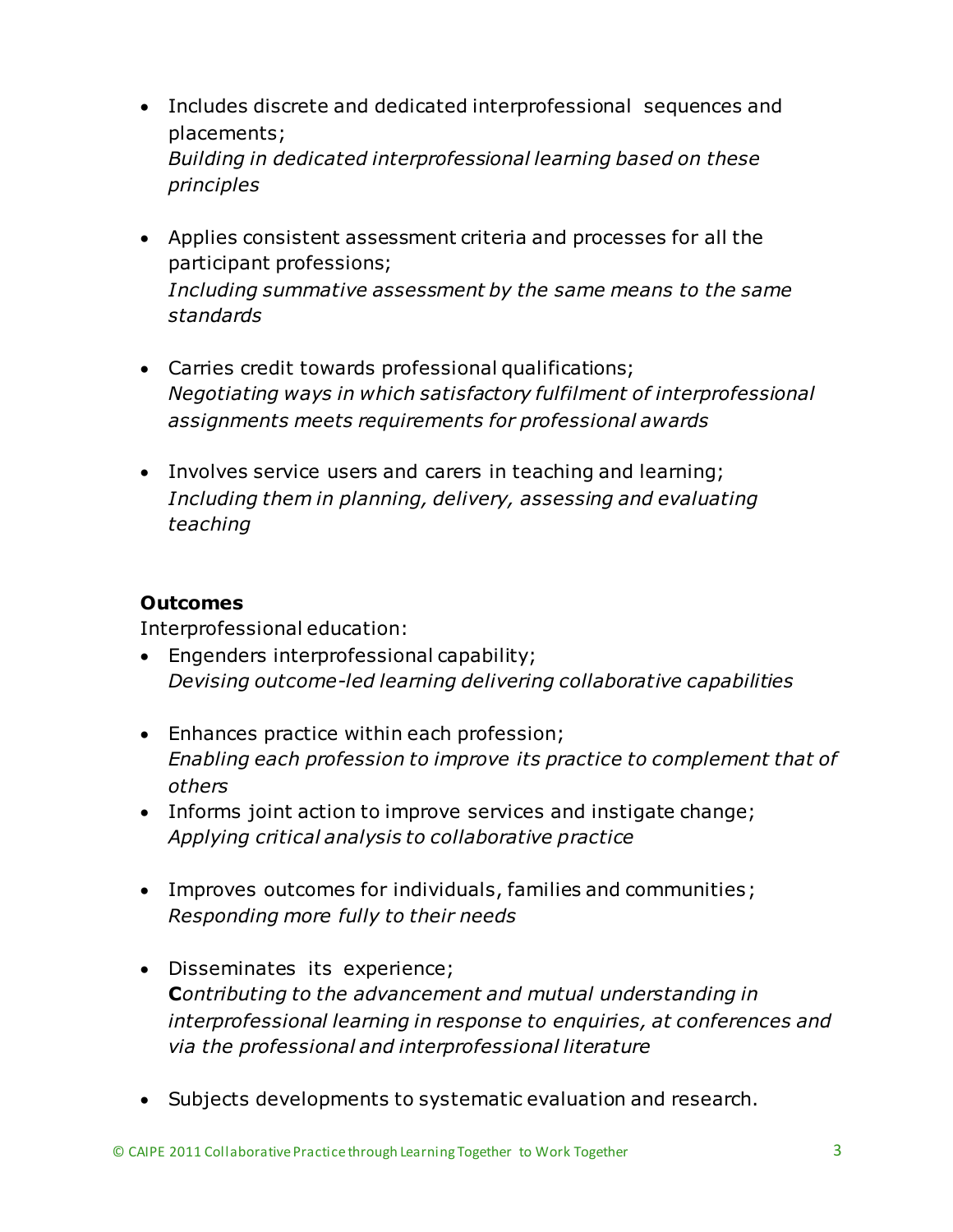- Includes discrete and dedicated interprofessional sequences and placements; *Building in dedicated interprofessional learning based on these principles*
- Applies consistent assessment criteria and processes for all the participant professions; *Including summative assessment by the same means to the same standards*
- Carries credit towards professional qualifications; *Negotiating ways in which satisfactory fulfilment of interprofessional assignments meets requirements for professional awards*
- Involves service users and carers in teaching and learning; *Including them in planning, delivery, assessing and evaluating teaching*

## **Outcomes**

Interprofessional education:

- Engenders interprofessional capability; *Devising outcome-led learning delivering collaborative capabilities*
- Enhances practice within each profession; *Enabling each profession to improve its practice to complement that of others*
- Informs joint action to improve services and instigate change; *Applying critical analysis to collaborative practice*
- Improves outcomes for individuals, families and communities; *Responding more fully to their needs*
- Disseminates its experience; **C***ontributing to the advancement and mutual understanding in interprofessional learning in response to enquiries, at conferences and via the professional and interprofessional literature*
- Subjects developments to systematic evaluation and research.